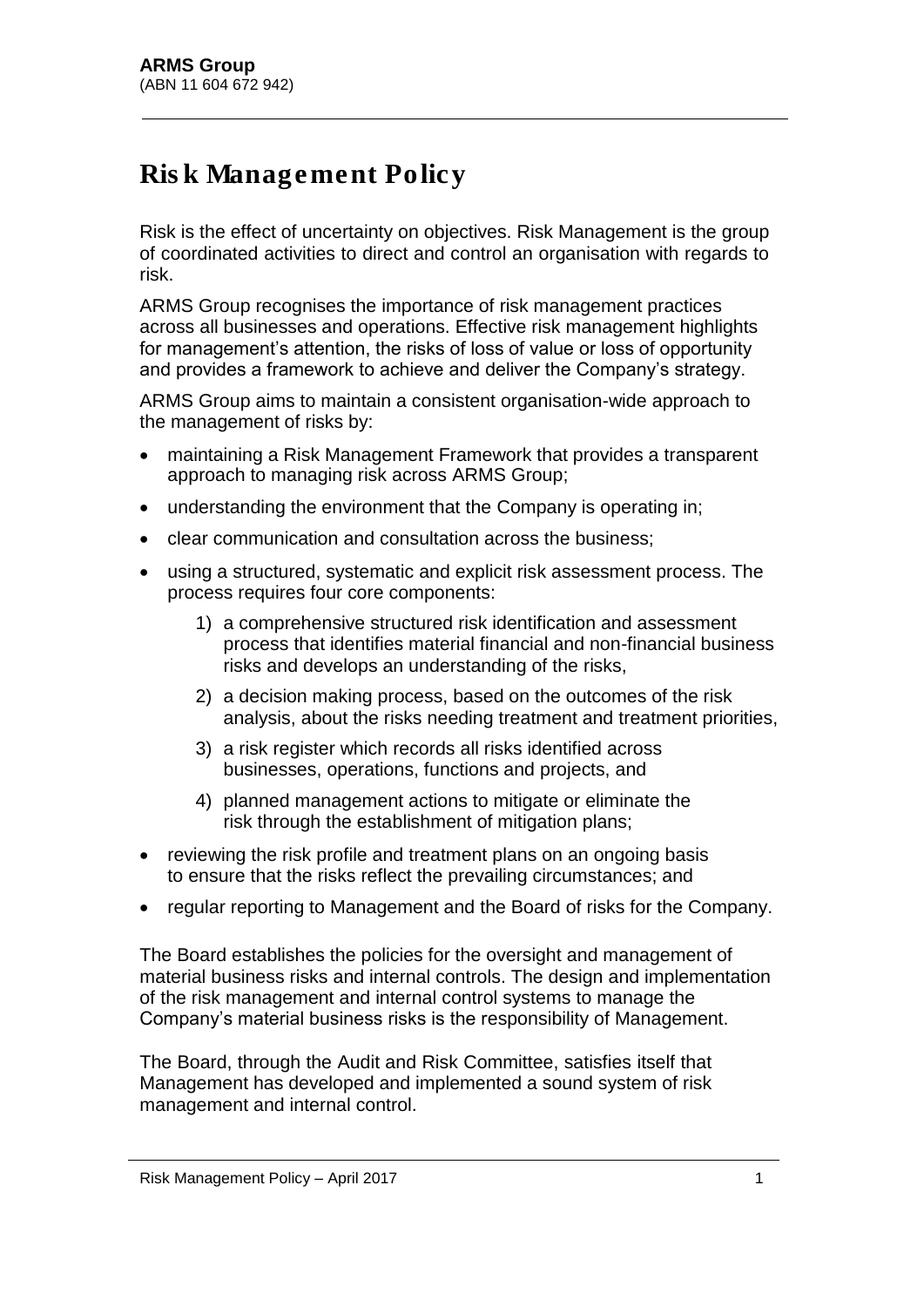## Risk Management Policy

Risk is the effect of uncertainty on objectives. Risk Management is the group of coordinated activities to direct and control an organisation with regards to risk.

ARMS Group recognises the importance of risk management practices across all businesses and operations. Effective risk management highlights for management's attention, the risks of loss of value or loss of opportunity and provides a framework to achieve and deliver the Company's strategy.

ARMS Group aims to maintain a consistent organisation-wide approach to the management of risks by:

- maintaining a Risk Management Framework that provides a transparent approach to managing risk across ARMS Group;
- understanding the environment that the Company is operating in;
- clear communication and consultation across the business;
- using a structured, systematic and explicit risk assessment process. The process requires four core components:
	- 1) a comprehensive structured risk identification and assessment process that identifies material financial and non-financial business risks and develops an understanding of the risks,
	- 2) a decision making process, based on the outcomes of the risk analysis, about the risks needing treatment and treatment priorities,
	- 3) a risk register which records all risks identified across businesses, operations, functions and projects, and
	- 4) planned management actions to mitigate or eliminate the risk through the establishment of mitigation plans;
- reviewing the risk profile and treatment plans on an ongoing basis to ensure that the risks reflect the prevailing circumstances; and
- regular reporting to Management and the Board of risks for the Company.

The Board establishes the policies for the oversight and management of material business risks and internal controls. The design and implementation of the risk management and internal control systems to manage the Company's material business risks is the responsibility of Management.

The Board, through the Audit and Risk Committee, satisfies itself that Management has developed and implemented a sound system of risk management and internal control.